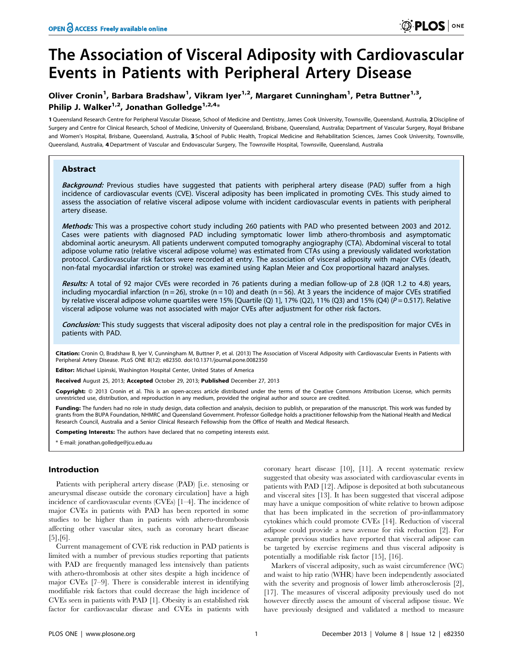# The Association of Visceral Adiposity with Cardiovascular Events in Patients with Peripheral Artery Disease

## Oliver Cronin<sup>1</sup>, Barbara Bradshaw<sup>1</sup>, Vikram Iyer<sup>1,2</sup>, Margaret Cunningham<sup>1</sup>, Petra Buttner<sup>1,3</sup>, Philip J. Walker<sup>1,2</sup>, Jonathan Golledge<sup>1,2,4\*</sup>

1Queensland Research Centre for Peripheral Vascular Disease, School of Medicine and Dentistry, James Cook University, Townsville, Queensland, Australia, 2Discipline of Surgery and Centre for Clinical Research, School of Medicine, University of Queensland, Brisbane, Queensland, Australia; Department of Vascular Surgery, Royal Brisbane and Women's Hospital, Brisbane, Queensland, Australia, 3 School of Public Health, Tropical Medicine and Rehabilitation Sciences, James Cook University, Townsville, Queensland, Australia, 4 Department of Vascular and Endovascular Surgery, The Townsville Hospital, Townsville, Queensland, Australia

## Abstract

Background: Previous studies have suggested that patients with peripheral artery disease (PAD) suffer from a high incidence of cardiovascular events (CVE). Visceral adiposity has been implicated in promoting CVEs. This study aimed to assess the association of relative visceral adipose volume with incident cardiovascular events in patients with peripheral artery disease.

Methods: This was a prospective cohort study including 260 patients with PAD who presented between 2003 and 2012. Cases were patients with diagnosed PAD including symptomatic lower limb athero-thrombosis and asymptomatic abdominal aortic aneurysm. All patients underwent computed tomography angiography (CTA). Abdominal visceral to total adipose volume ratio (relative visceral adipose volume) was estimated from CTAs using a previously validated workstation protocol. Cardiovascular risk factors were recorded at entry. The association of visceral adiposity with major CVEs (death, non-fatal myocardial infarction or stroke) was examined using Kaplan Meier and Cox proportional hazard analyses.

Results: A total of 92 major CVEs were recorded in 76 patients during a median follow-up of 2.8 (IQR 1.2 to 4.8) years, including myocardial infarction (n = 26), stroke (n = 10) and death (n = 56). At 3 years the incidence of major CVEs stratified by relative visceral adipose volume quartiles were 15% [Quartile (Q) 1], 17% (Q2), 11% (Q3) and 15% (Q4) ( $\dot{P} = 0.517$ ). Relative visceral adipose volume was not associated with major CVEs after adjustment for other risk factors.

Conclusion: This study suggests that visceral adiposity does not play a central role in the predisposition for major CVEs in patients with PAD.

Citation: Cronin O, Bradshaw B, Iyer V, Cunningham M, Buttner P, et al. (2013) The Association of Visceral Adiposity with Cardiovascular Events in Patients with Peripheral Artery Disease. PLoS ONE 8(12): e82350. doi:10.1371/journal.pone.0082350

Editor: Michael Lipinski, Washington Hospital Center, United States of America

Received August 25, 2013; Accepted October 29, 2013; Published December 27, 2013

Copyright: © 2013 Cronin et al. This is an open-access article distributed under the terms of the Creative Commons Attribution License, which permits unrestricted use, distribution, and reproduction in any medium, provided the original author and source are credited.

Funding: The funders had no role in study design, data collection and analysis, decision to publish, or preparation of the manuscript. This work was funded by grants from the BUPA Foundation, NHMRC and Queensland Government. Professor Golledge holds a practitioner fellowship from the National Health and Medical Research Council, Australia and a Senior Clinical Research Fellowship from the Office of Health and Medical Research.

Competing Interests: The authors have declared that no competing interests exist.

\* E-mail: jonathan.golledge@jcu.edu.au

## Introduction

Patients with peripheral artery disease (PAD) [i.e. stenosing or aneurysmal disease outside the coronary circulation] have a high incidence of cardiovascular events (CVEs) [1–4]. The incidence of major CVEs in patients with PAD has been reported in some studies to be higher than in patients with athero-thrombosis affecting other vascular sites, such as coronary heart disease [5],[6].

Current management of CVE risk reduction in PAD patients is limited with a number of previous studies reporting that patients with PAD are frequently managed less intensively than patients with athero-thrombosis at other sites despite a high incidence of major CVEs [7–9]. There is considerable interest in identifying modifiable risk factors that could decrease the high incidence of CVEs seen in patients with PAD [1]. Obesity is an established risk factor for cardiovascular disease and CVEs in patients with

coronary heart disease [10], [11]. A recent systematic review suggested that obesity was associated with cardiovascular events in patients with PAD [12]. Adipose is deposited at both subcutaneous and visceral sites [13]. It has been suggested that visceral adipose may have a unique composition of white relative to brown adipose that has been implicated in the secretion of pro-inflammatory cytokines which could promote CVEs [14]. Reduction of visceral adipose could provide a new avenue for risk reduction [2]. For example previous studies have reported that visceral adipose can be targeted by exercise regimens and thus visceral adiposity is potentially a modifiable risk factor [15], [16].

Markers of visceral adiposity, such as waist circumference (WC) and waist to hip ratio (WHR) have been independently associated with the severity and prognosis of lower limb atherosclerosis [2], [17]. The measures of visceral adiposity previously used do not however directly assess the amount of visceral adipose tissue. We have previously designed and validated a method to measure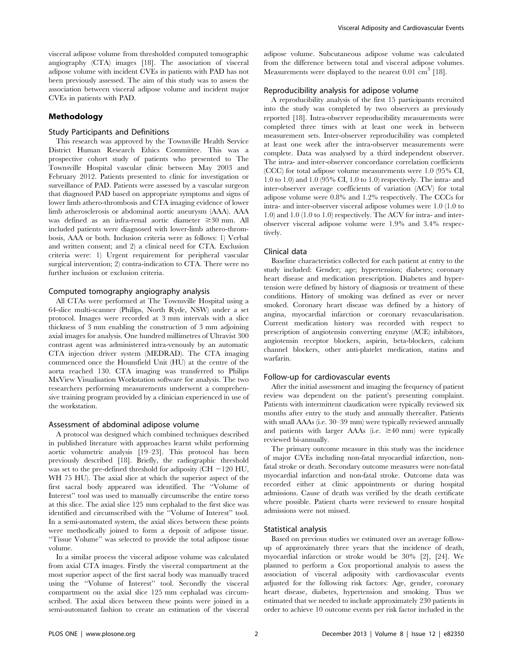visceral adipose volume from thresholded computed tomographic angiography (CTA) images [18]. The association of visceral adipose volume with incident CVEs in patients with PAD has not been previously assessed. The aim of this study was to assess the association between visceral adipose volume and incident major CVEs in patients with PAD.

## Methodology

## Study Participants and Definitions

This research was approved by the Townsville Health Service District Human Research Ethics Committee. This was a prospective cohort study of patients who presented to The Townsville Hospital vascular clinic between May 2003 and February 2012. Patients presented to clinic for investigation or surveillance of PAD. Patients were assessed by a vascular surgeon that diagnosed PAD based on appropriate symptoms and signs of lower limb athero-thrombosis and CTA imaging evidence of lower limb atherosclerosis or abdominal aortic aneurysm (AAA). AAA was defined as an infra-renal aortic diameter  $\geq 30$  mm. All included patients were diagnosed with lower-limb athero-thrombosis, AAA or both. Inclusion criteria were as follows: 1) Verbal and written consent; and 2) a clinical need for CTA. Exclusion criteria were: 1) Urgent requirement for peripheral vascular surgical intervention; 2) contra-indication to CTA. There were no further inclusion or exclusion criteria.

## Computed tomography angiography analysis

All CTAs were performed at The Townsville Hospital using a 64-slice multi-scanner (Philips, North Ryde, NSW) under a set protocol. Images were recorded at 3 mm intervals with a slice thickness of 3 mm enabling the construction of 3 mm adjoining axial images for analysis. One hundred millimetres of Ultravist 300 contrast agent was administered intra-venously by an automatic CTA injection driver system (MEDRAD). The CTA imaging commenced once the Hounsfield Unit (HU) at the centre of the aorta reached 130. CTA imaging was transferred to Philips MxView Visualisation Workstation software for analysis. The two researchers performing measurements underwent a comprehensive training program provided by a clinician experienced in use of the workstation.

#### Assessment of abdominal adipose volume

A protocol was designed which combined techniques described in published literature with approaches learnt whilst performing aortic volumetric analysis [19–23]. This protocol has been previously described [18]. Briefly, the radiographic threshold was set to the pre-defined threshold for adiposity (CH  $-120$  HU, WH 75 HU). The axial slice at which the superior aspect of the first sacral body appeared was identified. The ''Volume of Interest'' tool was used to manually circumscribe the entire torso at this slice. The axial slice 125 mm cephalad to the first slice was identified and circumscribed with the ''Volume of Interest'' tool. In a semi-automated system, the axial slices between these points were methodically joined to form a deposit of adipose tissue. ''Tissue Volume'' was selected to provide the total adipose tissue volume.

In a similar process the visceral adipose volume was calculated from axial CTA images. Firstly the visceral compartment at the most superior aspect of the first sacral body was manually traced using the ''Volume of Interest'' tool. Secondly the visceral compartment on the axial slice 125 mm cephalad was circumscribed. The axial slices between these points were joined in a semi-automated fashion to create an estimation of the visceral adipose volume. Subcutaneous adipose volume was calculated from the difference between total and visceral adipose volumes. Measurements were displayed to the nearest  $0.01 \text{ cm}^3$  [18].

### Reproducibility analysis for adipose volume

A reproducibility analysis of the first 15 participants recruited into the study was completed by two observers as previously reported [18]. Intra-observer reproducibility measurements were completed three times with at least one week in between measurement sets. Inter-observer reproducibility was completed at least one week after the intra-observer measurements were complete. Data was analysed by a third independent observer. The intra- and inter-observer concordance correlation coefficients (CCC) for total adipose volume measurements were 1.0 (95% CI, 1.0 to 1.0) and 1.0 (95% CI, 1.0 to 1.0) respectively. The intra- and inter-observer average coefficients of variation (ACV) for total adipose volume were 0.8% and 1.2% respectively. The CCCs for intra- and inter-observer visceral adipose volumes were 1.0 (1.0 to 1.0) and 1.0 (1.0 to 1.0) respectively. The ACV for intra- and interobserver visceral adipose volume were 1.9% and 3.4% respectively.

## Clinical data

Baseline characteristics collected for each patient at entry to the study included: Gender; age; hypertension; diabetes; coronary heart disease and medication prescription. Diabetes and hypertension were defined by history of diagnosis or treatment of these conditions. History of smoking was defined as ever or never smoked. Coronary heart disease was defined by a history of angina, myocardial infarction or coronary revascularisation. Current medication history was recorded with respect to prescription of angiotensin converting enzyme (ACE) inhibitors, angiotensin receptor blockers, aspirin, beta-blockers, calcium channel blockers, other anti-platelet medication, statins and warfarin.

#### Follow-up for cardiovascular events

After the initial assessment and imaging the frequency of patient review was dependent on the patient's presenting complaint. Patients with intermittent claudication were typically reviewed six months after entry to the study and annually thereafter. Patients with small AAAs (i.e. 30–39 mm) were typically reviewed annually and patients with larger AAAs (i.e.  $\geq 40$  mm) were typically reviewed bi-annually.

The primary outcome measure in this study was the incidence of major CVEs including non-fatal myocardial infarction, nonfatal stroke or death. Secondary outcome measures were non-fatal myocardial infarction and non-fatal stroke. Outcome data was recorded either at clinic appointments or during hospital admissions. Cause of death was verified by the death certificate where possible. Patient charts were reviewed to ensure hospital admissions were not missed.

## Statistical analysis

Based on previous studies we estimated over an average followup of approximately three years that the incidence of death, myocardial infarction or stroke would be 30% [2], [24]. We planned to perform a Cox proportional analysis to assess the association of visceral adiposity with cardiovascular events adjusted for the following risk factors: Age, gender, coronary heart disease, diabetes, hypertension and smoking. Thus we estimated that we needed to include approximately 230 patients in order to achieve 10 outcome events per risk factor included in the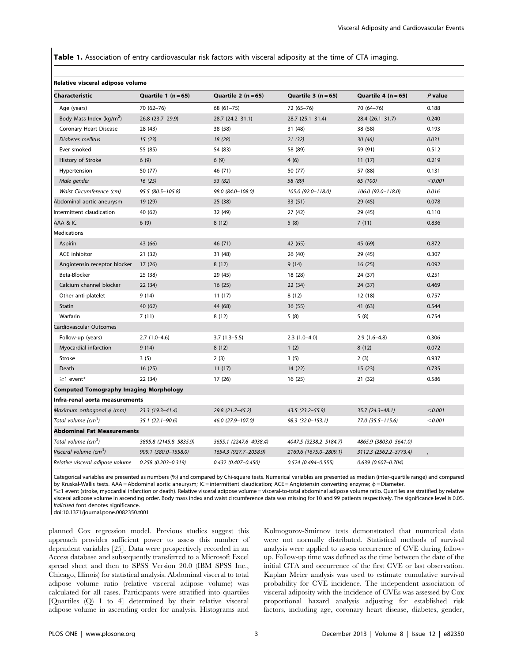Table 1. Association of entry cardiovascular risk factors with visceral adiposity at the time of CTA imaging.

#### Relative visceral adipose volume

| Characteristic                         | Quartile 1 $(n = 65)$  | Quartile $2(n=65)$     | Quartile $3(n=65)$     | Quartile $4(n=65)$     | $P$ value      |
|----------------------------------------|------------------------|------------------------|------------------------|------------------------|----------------|
| Age (years)                            | 70 (62-76)             | $68(61 - 75)$          | 72 (65-76)             | 70 (64-76)             | 0.188          |
| Body Mass Index (kg/m <sup>2</sup> )   | 26.8 (23.7-29.9)       | 28.7 (24.2-31.1)       | 28.7 (25.1-31.4)       | 28.4 (26.1-31.7)       | 0.240          |
| Coronary Heart Disease                 | 28 (43)                | 38 (58)                | 31 (48)                | 38 (58)                | 0.193          |
| Diabetes mellitus                      | 15(23)                 | 18 (28)                | 21(32)                 | 30(46)                 | 0.031          |
| Ever smoked                            | 55 (85)                | 54 (83)                | 58 (89)                | 59 (91)                | 0.512          |
| History of Stroke                      | 6(9)                   | 6(9)                   | 4(6)                   | 11(17)                 | 0.219          |
| Hypertension                           | 50 (77)                | 46 (71)                | 50 (77)                | 57 (88)                | 0.131          |
| Male gender                            | 16(25)                 | 53 (82)                | 58 (89)                | 65 (100)               | < 0.001        |
| Waist Circumference (cm)               | 95.5 (80.5-105.8)      | 98.0 (84.0-108.0)      | 105.0 (92.0-118.0)     | 106.0 (92.0-118.0)     | 0.016          |
| Abdominal aortic aneurysm              | 19 (29)                | 25 (38)                | 33 (51)                | 29 (45)                | 0.078          |
| Intermittent claudication              | 40 (62)                | 32 (49)                | 27(42)                 | 29 (45)                | 0.110          |
| AAA & IC                               | 6(9)                   | 8(12)                  | 5(8)                   | 7(11)                  | 0.836          |
| <b>Medications</b>                     |                        |                        |                        |                        |                |
| Aspirin                                | 43 (66)                | 46 (71)                | 42 (65)                | 45 (69)                | 0.872          |
| <b>ACE</b> inhibitor                   | 21 (32)                | 31 (48)                | 26 (40)                | 29 (45)                | 0.307          |
| Angiotensin receptor blocker           | 17(26)                 | 8(12)                  | 9(14)                  | 16(25)                 | 0.092          |
| Beta-Blocker                           | 25 (38)                | 29 (45)                | 18 (28)                | 24 (37)                | 0.251          |
| Calcium channel blocker                | 22 (34)                | 16(25)                 | 22(34)                 | 24 (37)                | 0.469          |
| Other anti-platelet                    | 9(14)                  | 11(17)                 | 8(12)                  | 12 (18)                | 0.757          |
| <b>Statin</b>                          | 40 (62)                | 44 (68)                | 36(55)                 | 41 (63)                | 0.544          |
| Warfarin                               | 7(11)                  | 8(12)                  | 5(8)                   | 5(8)                   | 0.754          |
| Cardiovascular Outcomes                |                        |                        |                        |                        |                |
| Follow-up (years)                      | $2.7(1.0-4.6)$         | $3.7(1.3-5.5)$         | $2.3(1.0-4.0)$         | $2.9(1.6-4.8)$         | 0.306          |
| Myocardial infarction                  | 9(14)                  | 8(12)                  | 1(2)                   | 8(12)                  | 0.072          |
| Stroke                                 | 3(5)                   | 2(3)                   | 3(5)                   | 2(3)                   | 0.937          |
| Death                                  | 16(25)                 | 11(17)                 | 14(22)                 | 15(23)                 | 0.735          |
| $\geq$ 1 event*                        | 22 (34)                | 17 (26)                | 16(25)                 | 21(32)                 | 0.586          |
| Computed Tomography Imaging Morphology |                        |                        |                        |                        |                |
| Infra-renal aorta measurements         |                        |                        |                        |                        |                |
| Maximum orthogonal $\phi$ (mm)         | 23.3 (19.3-41.4)       | 29.8 (21.7-45.2)       | 43.5 (23.2-55.9)       | 35.7 (24.3-48.1)       | < 0.001        |
| Total volume (cm <sup>3</sup> )        | $35.1(22.1 - 90.6)$    | 46.0 (27.9-107.0)      | 98.3 (32.0-153.1)      | 77.0 (35.5-115.6)      | < 0.001        |
| <b>Abdominal Fat Measurements</b>      |                        |                        |                        |                        |                |
| Total volume (cm <sup>3</sup> )        | 3895.8 (2145.8-5835.9) | 3655.1 (2247.6-4938.4) | 4047.5 (3238.2-5184.7) | 4865.9 (3803.0-5641.0) |                |
| Visceral volume (cm <sup>3</sup> )     | 909.1 (380.0-1558.0)   | 1654.3 (927.7-2058.9)  | 2169.6 (1675.0-2809.1) | 3112.3 (2562.2-3773.4) | $\overline{1}$ |
| Relative visceral adipose volume       | $0.258$ (0.203-0.319)  | $0.432$ (0.407-0.450)  | $0.524$ (0.494-0.555)  | $0.639$ (0.607-0.704)  |                |
|                                        |                        |                        |                        |                        |                |

Categorical variables are presented as numbers (%) and compared by Chi-square tests. Numerical variables are presented as median (inter-quartile range) and compared by Kruskal-Wallis tests. AAA = Abdominal aortic aneurysm; IC = intermittent claudication; ACE = Angiotensin converting enzyme;  $\phi$  = Diameter.

\* a event (stroke, myocardial infarction or death). Relative visceral adipose volume = visceral-to-total abdominal adipose volume ratio. Quartiles are stratified by relative visceral adipose volume in ascending order. Body mass index and waist circumference data was missing for 10 and 99 patients respectively. The significance level is 0.05. Italicised font denotes significance.

doi:10.1371/journal.pone.0082350.t001

planned Cox regression model. Previous studies suggest this approach provides sufficient power to assess this number of dependent variables [25]. Data were prospectively recorded in an Access database and subsequently transferred to a Microsoft Excel spread sheet and then to SPSS Version 20.0 (IBM SPSS Inc., Chicago, Illinois) for statistical analysis. Abdominal visceral to total adipose volume ratio (relative visceral adipose volume) was calculated for all cases. Participants were stratified into quartiles [Quartiles (Q) 1 to 4] determined by their relative visceral adipose volume in ascending order for analysis. Histograms and

Kolmogorov-Smirnov tests demonstrated that numerical data were not normally distributed. Statistical methods of survival analysis were applied to assess occurrence of CVE during followup. Follow-up time was defined as the time between the date of the initial CTA and occurrence of the first CVE or last observation. Kaplan Meier analysis was used to estimate cumulative survival probability for CVE incidence. The independent association of visceral adiposity with the incidence of CVEs was assessed by Cox proportional hazard analysis adjusting for established risk factors, including age, coronary heart disease, diabetes, gender,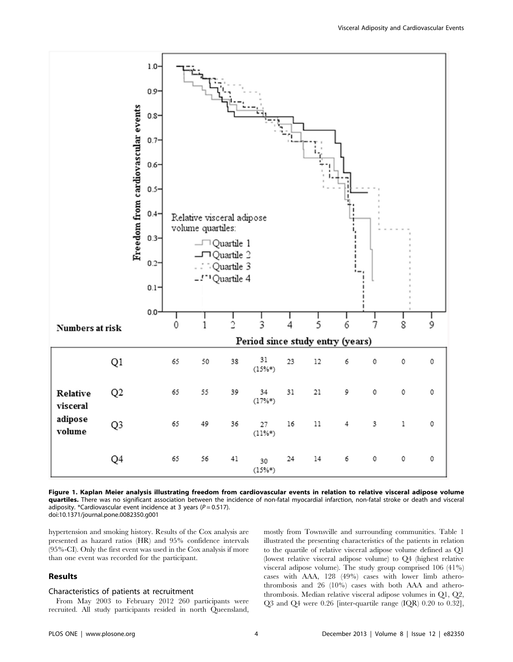

Figure 1. Kaplan Meier analysis illustrating freedom from cardiovascular events in relation to relative visceral adipose volume quartiles. There was no significant association between the incidence of non-fatal myocardial infarction, non-fatal stroke or death and visceral adiposity. \*Cardiovascular event incidence at 3 years ( $P = 0.517$ ). doi:10.1371/journal.pone.0082350.g001

hypertension and smoking history. Results of the Cox analysis are presented as hazard ratios (HR) and 95% confidence intervals (95%-CI). Only the first event was used in the Cox analysis if more than one event was recorded for the participant.

## Results

## Characteristics of patients at recruitment

From May 2003 to February 2012 260 participants were recruited. All study participants resided in north Queensland, mostly from Townsville and surrounding communities. Table 1 illustrated the presenting characteristics of the patients in relation to the quartile of relative visceral adipose volume defined as Q1 (lowest relative visceral adipose volume) to Q4 (highest relative visceral adipose volume). The study group comprised 106 (41%) cases with AAA, 128 (49%) cases with lower limb atherothrombosis and 26 (10%) cases with both AAA and atherothrombosis. Median relative visceral adipose volumes in Q1, Q2, Q3 and Q4 were 0.26 [inter-quartile range (IQR) 0.20 to 0.32],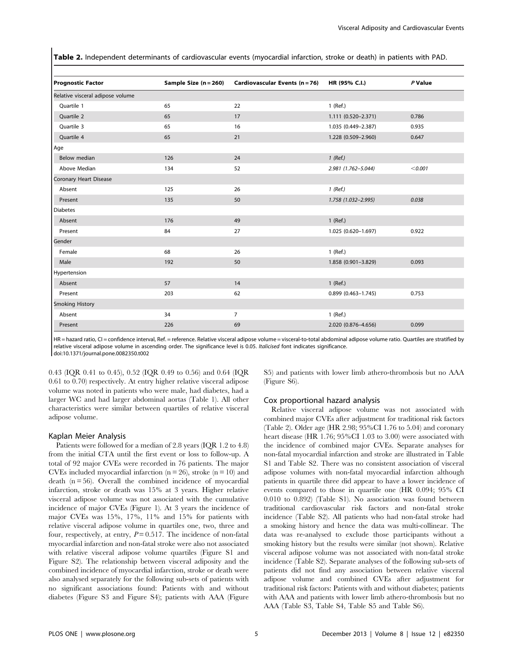Table 2. Independent determinants of cardiovascular events (myocardial infarction, stroke or death) in patients with PAD.

| <b>Prognostic Factor</b>         | Sample Size (n = 260) | Cardiovascular Events (n = 76) | HR (95% C.I.)         | $P$ Value |
|----------------------------------|-----------------------|--------------------------------|-----------------------|-----------|
| Relative visceral adipose volume |                       |                                |                       |           |
| Ouartile 1                       | 65                    | 22                             | 1 (Ref.)              |           |
| Quartile 2                       | 65                    | 17                             | 1.111 (0.520-2.371)   | 0.786     |
| Quartile 3                       | 65                    | 16                             | 1.035 (0.449-2.387)   | 0.935     |
| <b>Ouartile 4</b>                | 65                    | 21                             | 1.228 (0.509-2.960)   | 0.647     |
| Age                              |                       |                                |                       |           |
| Below median                     | 126                   | 24                             | $1$ (Ref.)            |           |
| Above Median                     | 134                   | 52                             | 2.981 (1.762-5.044)   | < 0.001   |
| <b>Coronary Heart Disease</b>    |                       |                                |                       |           |
| Absent                           | 125                   | 26                             | 1 (Ref.)              |           |
| Present                          | 135                   | 50                             | 1.758 (1.032-2.995)   | 0.038     |
| <b>Diabetes</b>                  |                       |                                |                       |           |
| Absent                           | 176                   | 49                             | $1$ (Ref.)            |           |
| Present                          | 84                    | 27                             | 1.025 (0.620-1.697)   | 0.922     |
| Gender                           |                       |                                |                       |           |
| Female                           | 68                    | 26                             | 1 (Ref.)              |           |
| Male                             | 192                   | 50                             | 1.858 (0.901-3.829)   | 0.093     |
| Hypertension                     |                       |                                |                       |           |
| Absent                           | 57                    | 14                             | 1 (Ref.)              |           |
| Present                          | 203                   | 62                             | $0.899$ (0.463-1.745) | 0.753     |
| <b>Smoking History</b>           |                       |                                |                       |           |
| Absent                           | 34                    | $\overline{7}$                 | 1 (Ref.)              |           |
| Present                          | 226                   | 69                             | 2.020 (0.876-4.656)   | 0.099     |

HR = hazard ratio, CI = confidence interval, Ref. = reference. Relative visceral adipose volume = visceral-to-total abdominal adipose volume ratio. Quartiles are stratified by relative visceral adipose volume in ascending order. The significance level is 0.05. Italicised font indicates significance. doi:10.1371/journal.pone.0082350.t002

0.43 (IQR 0.41 to 0.45), 0.52 (IQR 0.49 to 0.56) and 0.64 (IQR 0.61 to 0.70) respectively. At entry higher relative visceral adipose volume was noted in patients who were male, had diabetes, had a larger WC and had larger abdominal aortas (Table 1). All other characteristics were similar between quartiles of relative visceral adipose volume.

#### Kaplan Meier Analysis

Patients were followed for a median of 2.8 years (IQR 1.2 to 4.8) from the initial CTA until the first event or loss to follow-up. A total of 92 major CVEs were recorded in 76 patients. The major CVEs included myocardial infarction  $(n = 26)$ , stroke  $(n = 10)$  and death  $(n = 56)$ . Overall the combined incidence of myocardial infarction, stroke or death was 15% at 3 years. Higher relative visceral adipose volume was not associated with the cumulative incidence of major CVEs (Figure 1). At 3 years the incidence of major CVEs was 15%, 17%, 11% and 15% for patients with relative visceral adipose volume in quartiles one, two, three and four, respectively, at entry,  $P = 0.517$ . The incidence of non-fatal myocardial infarction and non-fatal stroke were also not associated with relative visceral adipose volume quartiles (Figure S1 and Figure S2). The relationship between visceral adiposity and the combined incidence of myocardial infarction, stroke or death were also analysed separately for the following sub-sets of patients with no significant associations found: Patients with and without diabetes (Figure S3 and Figure S4); patients with AAA (Figure

S5) and patients with lower limb athero-thrombosis but no AAA (Figure S6).

#### Cox proportional hazard analysis

Relative visceral adipose volume was not associated with combined major CVEs after adjustment for traditional risk factors (Table 2). Older age (HR 2.98; 95%CI 1.76 to 5.04) and coronary heart disease (HR 1.76; 95%CI 1.03 to 3.00) were associated with the incidence of combined major CVEs. Separate analyses for non-fatal myocardial infarction and stroke are illustrated in Table S1 and Table S2. There was no consistent association of visceral adipose volumes with non-fatal myocardial infarction although patients in quartile three did appear to have a lower incidence of events compared to those in quartile one (HR 0.094; 95% CI 0.010 to 0.892) (Table S1). No association was found between traditional cardiovascular risk factors and non-fatal stroke incidence (Table S2). All patients who had non-fatal stroke had a smoking history and hence the data was multi-collinear. The data was re-analysed to exclude those participants without a smoking history but the results were similar (not shown). Relative visceral adipose volume was not associated with non-fatal stroke incidence (Table S2). Separate analyses of the following sub-sets of patients did not find any association between relative visceral adipose volume and combined CVEs after adjustment for traditional risk factors: Patients with and without diabetes; patients with AAA and patients with lower limb athero-thrombosis but no AAA (Table S3, Table S4, Table S5 and Table S6).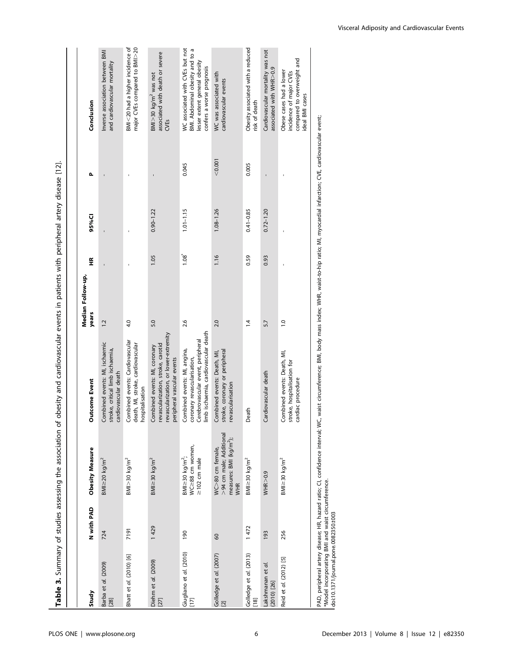Table 3. Summary of studies assessing the association of obesity and cardiovascular events in patients with peripheral artery disease [12]. Table 3. Summary of studies assessing the association of obesity and cardiovascular events in patients with peripheral artery disease [12].

| Study                                                                                      | N with PAD | <b>Obesity Measure</b>                                                                           | <b>Outcome Event</b>                                                                                                                                                                                 | Median Follow-up,<br>years | €             | 95%CI         | Δ       | Conclusion                                                                                                                       |
|--------------------------------------------------------------------------------------------|------------|--------------------------------------------------------------------------------------------------|------------------------------------------------------------------------------------------------------------------------------------------------------------------------------------------------------|----------------------------|---------------|---------------|---------|----------------------------------------------------------------------------------------------------------------------------------|
| Barba et al. (2009)<br>$[28]$                                                              | 724        | BMl≥20 kg/m <sup>2</sup>                                                                         | Combined events: MI, ischaemic<br>stroke, critical limb ischaemia,<br>cardiovascular death                                                                                                           | 1.2                        |               |               |         | Inverse association between BMI<br>and cardiovascular mortality                                                                  |
| Bhatt et al. (2010) [6]                                                                    | 7191       | $BM$ $>$ 30 kg/m <sup>2</sup>                                                                    | Combined events: Cardiovascular<br>death, MI, stroke, cardiovascular<br>hospitalisation                                                                                                              | 4.0                        |               |               |         | BMI<20 had a higher incidence of<br>major CVEs compared to BMI>20                                                                |
| Diehm et al. (2009)<br>$[27]$                                                              | 1429       | $BMl \geq 30 \text{ kg/m}^2$                                                                     | revascularization, or lower-extremity<br>revascularization, stroke, carotid<br>Combined events: MI, coronary<br>peripheral vascular events                                                           | 5.0                        | 1.05          | $0.90 - 1.22$ |         | associated with death or severe<br>BMI>30 kg/m <sup>2</sup> was not<br><b>CVES</b>                                               |
| Giugliano et al. (2010)<br>$[17]$                                                          | 190        | WC≥88 cm women,<br>$BMI \geq 30$ kg/m <sup>2</sup> ;<br>$\geq$ 102 cm male                       | imb ischaemia, cardiovascular death<br>Cerebrovascular event, peripheral<br>Combined events: MI, angina,<br>coronary revascularisation,                                                              | 2.6                        | $\frac{8}{1}$ | $1.01 - 1.15$ | 0.045   | WC associated with CVEs but not<br>BMI. Abdominal obesity and to a<br>lesser extent general obesity<br>confers a worse prognosis |
| Golledge et al. (2007)                                                                     | 80         | >94 cm male; Additional<br>measures: BMI (kg/m <sup>2</sup> );<br>WC>80 cm female,<br><b>WHR</b> | stroke, coronary or peripheral<br>Combined events: Death, MI,<br>revascularisation                                                                                                                   | 2.0                        | 1.16          | $1.08 - 1.26$ | < 0.001 | WC was associated with<br>cardiovascular events                                                                                  |
| Golledge et al. (2013)<br>[18]                                                             | 1472       | $BMl \geq 30 \ kg/m^2$                                                                           | Death                                                                                                                                                                                                | 14                         | 0.59          | $0.41 - 0.85$ | 0.005   | Obesity associated with a reduced<br>risk of death                                                                               |
| Lakshmanan et al.<br>$(2010)$ $[26]$                                                       | 193        | WHR $> 0.9$                                                                                      | Cardiovascular death                                                                                                                                                                                 | 5.7                        | 0.93          | $0.72 - 1.20$ |         | Cardiovascular mortality was not<br>associated with WHR>0.9                                                                      |
| Reid et al. (2012) [5]                                                                     | 256        | $BMl \geq 30 kg/m2$                                                                              | Combined events: Death, MI,<br>stroke, hospitalisation for<br>cardiac procedure                                                                                                                      | $\overline{1.0}$           |               |               |         | compared to overweight and<br>Obese cases had a lower<br>incidence of major CVEs<br>ideal BMI cases                              |
| *Model incorporating BMI and waist circumference.<br>doi:10.1371/journal.pone.0082350.t003 |            |                                                                                                  | PAD, peripheral artery disease; HR, hazard ratio; CI, confidence interval; Waist circumference; BMI, body mass index; WHR, waist-to-hip ratio; MJ, myocardial infarction; CVE, cardiovascular event; |                            |               |               |         |                                                                                                                                  |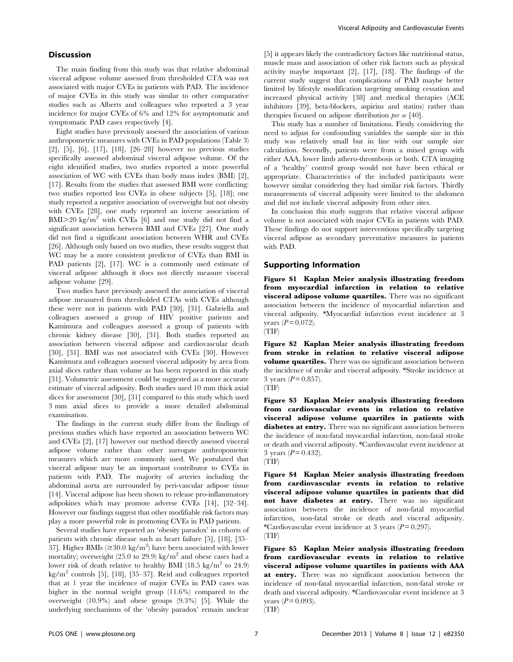## **Discussion**

The main finding from this study was that relative abdominal visceral adipose volume assessed from thresholded CTA was not associated with major CVEs in patients with PAD. The incidence of major CVEs in this study was similar to other comparative studies such as Alberts and colleagues who reported a 3 year incidence for major CVEs of 6% and 12% for asymptomatic and symptomatic PAD cases respectively [4].

Eight studies have previously assessed the association of various anthropometric measures with CVEs in PAD populations (Table 3) [2], [5], [6], [17], [18], [26–28] however no previous studies specifically assessed abdominal visceral adipose volume. Of the eight identified studies, two studies reported a more powerful association of WC with CVEs than body mass index (BMI) [2], [17]. Results from the studies that assessed BMI were conflicting: two studies reported less CVEs in obese subjects [5], [18]; one study reported a negative association of overweight but not obesity with CVEs [28], one study reported an inverse association of  $BMI > 20 \text{ kg/m}^2$  with CVEs [6] and one study did not find a significant association between BMI and CVEs [27]. One study did not find a significant association between WHR and CVEs [26]. Although only based on two studies, these results suggest that WC may be a more consistent predictor of CVEs than BMI in PAD patients [2], [17]. WC is a commonly used estimate of visceral adipose although it does not directly measure visceral adipose volume [29].

Two studies have previously assessed the association of visceral adipose measured from thresholded CTAs with CVEs although these were not in patients with PAD [30], [31]. Gabriella and colleagues assessed a group of HIV positive patients and Kamimura and colleagues assessed a group of patients with chronic kidney disease [30], [31]. Both studies reported an association between visceral adipose and cardiovascular death [30], [31]. BMI was not associated with CVEs [30]. However Kamimura and colleagues assessed visceral adiposity by area from axial slices rather than volume as has been reported in this study [31]. Volumetric assessment could be suggested as a more accurate estimate of visceral adiposity. Both studies used 10 mm thick axial slices for assessment [30], [31] compared to this study which used 3 mm axial slices to provide a more detailed abdominal examination.

The findings in the current study differ from the findings of previous studies which have reported an association between WC and CVEs [2], [17] however our method directly assessed visceral adipose volume rather than other surrogate anthropometric measures which are more commonly used. We postulated that visceral adipose may be an important contributor to CVEs in patients with PAD. The majority of arteries including the abdominal aorta are surrounded by peri-vascular adipose tissue [14]. Visceral adipose has been shown to release pro-inflammatory adipokines which may promote adverse CVEs [14], [32–34]. However our findings suggest that other modifiable risk factors may play a more powerful role in promoting CVEs in PAD patients.

Several studies have reported an 'obesity paradox' in cohorts of patients with chronic disease such as heart failure [5], [18], [35– 37]. Higher BMIs ( $\geq$ 30.0 kg/m<sup>2</sup>) have been associated with lower mortality; overweight (25.0 to 29.9) kg/m<sup>2</sup> and obese cases had a lower risk of death relative to healthy BMI (18.5 kg/m<sup>2</sup> to 24.9) kg/m<sup>2</sup> controls [5], [18], [35–37]. Reid and colleagues reported that at 1 year the incidence of major CVEs in PAD cases was higher in the normal weight group (11.6%) compared to the overweight (10.9%) and obese groups (9.3%) [5]. While the underlying mechanisms of the 'obesity paradox' remain unclear

[5] it appears likely the contradictory factors like nutritional status, muscle mass and association of other risk factors such as physical activity maybe important [2], [17], [18]. The findings of the current study suggest that complications of PAD maybe better limited by lifestyle modification targeting smoking cessation and increased physical activity [38] and medical therapies (ACE inhibitors [39], beta-blockers, aspirins and statins) rather than therapies focused on adipose distribution per se [40].

This study has a number of limitations. Firstly considering the need to adjust for confounding variables the sample size in this study was relatively small but in line with our sample size calculation. Secondly, patients were from a mixed group with either AAA, lower limb athero-thrombosis or both. CTA imaging of a 'healthy' control group would not have been ethical or appropriate. Characteristics of the included participants were however similar considering they had similar risk factors. Thirdly measurements of visceral adiposity were limited to the abdomen and did not include visceral adiposity from other sites.

In conclusion this study suggests that relative visceral adipose volume is not associated with major CVEs in patients with PAD. These findings do not support interventions specifically targeting visceral adipose as secondary preventative measures in patients with PAD.

## Supporting Information

Figure S1 Kaplan Meier analysis illustrating freedom from myocardial infarction in relation to relative visceral adipose volume quartiles. There was no significant association between the incidence of myocardial infarction and visceral adiposity. \*Myocardial infarction event incidence at 3 years  $(P = 0.072)$ . (TIF)

Figure S2 Kaplan Meier analysis illustrating freedom from stroke in relation to relative visceral adipose volume quartiles. There was no significant association between the incidence of stroke and visceral adiposity. \*Stroke incidence at 3 years  $(P = 0.857)$ .



Figure S3 Kaplan Meier analysis illustrating freedom from cardiovascular events in relation to relative visceral adipose volume quartiles in patients with diabetes at entry. There was no significant association between the incidence of non-fatal myocardial infarction, non-fatal stroke or death and visceral adiposity. \*Cardiovascular event incidence at 3 years  $(P = 0.432)$ .

(TIF)

Figure S4 Kaplan Meier analysis illustrating freedom from cardiovascular events in relation to relative visceral adipose volume quartiles in patients that did not have diabetes at entry. There was no significant association between the incidence of non-fatal myocardial infarction, non-fatal stroke or death and visceral adiposity. \*Cardiovascular event incidence at 3 years ( $P = 0.297$ ). (TIF)

Figure S5 Kaplan Meier analysis illustrating freedom from cardiovascular events in relation to relative visceral adipose volume quartiles in patients with AAA at entry. There was no significant association between the incidence of non-fatal myocardial infarction, non-fatal stroke or death and visceral adiposity. \*Cardiovascular event incidence at 3 years ( $P = 0.093$ ).

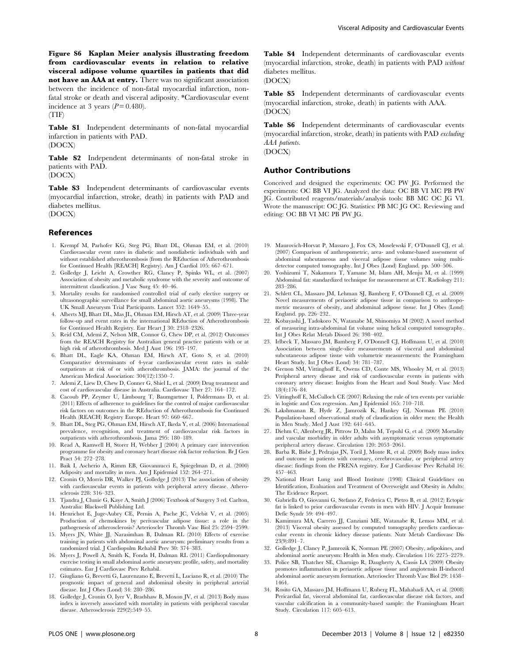Figure S6 Kaplan Meier analysis illustrating freedom from cardiovascular events in relation to relative visceral adipose volume quartiles in patients that did not have an AAA at entry. There was no significant association between the incidence of non-fatal myocardial infarction, nonfatal stroke or death and visceral adiposity. \*Cardiovascular event incidence at 3 years  $(P = 0.480)$ .

(TIF)

Table S1 Independent determinants of non-fatal myocardial infarction in patients with PAD.

(DOCX)

Table S2 Independent determinants of non-fatal stroke in patients with PAD.

(DOCX)

Table S3 Independent determinants of cardiovascular events (myocardial infarction, stroke, death) in patients with PAD and diabetes mellitus. (DOCX)

References

- 1. Krempf M, Parhofer KG, Steg PG, Bhatt DL, Ohman EM, et al. (2010) Cardiovascular event rates in diabetic and nondiabetic individuals with and without established atherothrombosis (from the REduction of Atherothrombosis for Continued Health [REACH] Registry). Am J Cardiol 105: 667–671.
- 2. Golledge J, Leicht A, Crowther RG, Clancy P, Spinks WL, et al. (2007) Association of obesity and metabolic syndrome with the severity and outcome of intermittent claudication. J Vasc Surg 45: 40–46.
- 3. Mortality results for randomised controlled trial of early elective surgery or ultrasonographic surveillance for small abdominal aortic aneurysms (1998). The UK Small Aneurysm Trial Participants. Lancet 352: 1649–55.
- 4. Alberts MJ, Bhatt DL, Mas JL, Ohman EM, Hirsch AT, et al. (2009) Three-year follow-up and event rates in the international REduction of Atherothrombosis for Continued Health Registry. Eur Heart J 30: 2318–2326.
- 5. Reid CM, Ademi Z, Nelson MR, Connor G, Chew DP, et al. (2012) Outcomes from the REACH Registry for Australian general practice patients with or at high risk of atherothrombosis. Med J Aust 196: 193–197.
- 6. Bhatt DL, Eagle KA, Ohman EM, Hirsch AT, Goto S, et al. (2010) Comparative determinants of 4-year cardiovascular event rates in stable outpatients at risk of or with atherothrombosis. JAMA: the journal of the American Medical Association: 304(12):1350–7.
- 7. Ademi Z, Liew D, Chew D, Conner G, Shiel L, et al. (2009) Drug treatment and cost of cardiovascular disease in Australia. Cardiovasc Ther 27: 164–172.
- 8. Cacoub PP, Zeymer U, Limbourg T, Baumgartner I, Poldermans D, et al. (2011) Effects of adherence to guidelines for the control of major cardiovascular risk factors on outcomes in the REduction of Atherothrombosis for Continued Health (REACH) Registry Europe. Heart 97: 660–667.
- 9. Bhatt DL, Steg PG, Ohman EM, Hirsch AT, Ikeda Y, et al. (2006) International prevalence, recognition, and treatment of cardiovascular risk factors in outpatients with atherothrombosis. Jama 295: 180–189.
- 10. Read A, Ramwell H, Storer H, Webber J (2004) A primary care intervention programme for obesity and coronary heart disease risk factor reduction. Br J Gen Pract 54: 272–278.
- 11. Baik I, Ascherio A, Rimm EB, Giovannucci E, Spiegelman D, et al. (2000) Adiposity and mortality in men. Am J Epidemiol 152: 264–271.
- 12. Cronin O, Morris DR, Walker PJ, Golledge J (2013) The association of obesity with cardiovascular events in patients with peripheral artery disease. Atherosclerosis 228: 316–323.
- 13. Tjandra J, Clunie G, Kaye A, Smith J (2006) Textbook of Surgery 3 ed. Carlton, Australia: Blackwell Publishing Ltd.
- 14. Henrichot E, Juge-Aubry CE, Pernin A, Pache JC, Velebit V, et al. (2005) Production of chemokines by perivascular adipose tissue: a role in the pathogenesis of atherosclerosis? Arterioscler Thromb Vasc Biol 25: 2594–2599.
- 15. Myers JN, White JJ, Narasimhan B, Dalman RL (2010) Effects of exercise training in patients with abdominal aortic aneurysm: preliminary results from a randomized trial. J Cardiopulm Rehabil Prev 30: 374–383.
- 16. Myers J, Powell A, Smith K, Fonda H, Dalman RL (2011) Cardiopulmonary exercise testing in small abdominal aortic aneurysm: profile, safety, and mortality estimates. Eur J Cardiovasc Prev Rehabil.
- 17. Giugliano G, Brevetti G, Laurenzano E, Brevetti L, Luciano R, et al. (2010) The prognostic impact of general and abdominal obesity in peripheral arterial disease. Int J Obes (Lond) 34: 280–286.
- 18. Golledge J, Cronin O, Iyer V, Bradshaw B, Moxon JV, et al. (2013) Body mass index is inversely associated with mortality in patients with peripheral vascular disease. Atherosclerosis 229(2):549–55.

Table S4 Independent determinants of cardiovascular events (myocardial infarction, stroke, death) in patients with PAD without diabetes mellitus.

(DOCX)

Table S5 Independent determinants of cardiovascular events (myocardial infarction, stroke, death) in patients with AAA. (DOCX)

Table S6 Independent determinants of cardiovascular events (myocardial infarction, stroke, death) in patients with PAD excluding AAA patients.

(DOCX)

## Author Contributions

Conceived and designed the experiments: OC PW JG. Performed the experiments: OC BB VI JG. Analyzed the data: OC BB VI MC PB PW JG. Contributed reagents/materials/analysis tools: BB MC OC JG VI. Wrote the manuscript: OC JG. Statistics: PB MC JG OC. Reviewing and editing: OC BB VI MC PB PW JG.

- 19. Maurovich-Horvat P, Massaro J, Fox CS, Moselewski F, O'Donnell CJ, et al. (2007) Comparison of anthropometric, area- and volume-based assessment of abdominal subcutaneous and visceral adipose tissue volumes using multidetector computed tomography. Int J Obes (Lond) England. pp. 500–506.
- 20. Yoshizumi T, Nakamura T, Yamane M, Islam AH, Menju M, et al. (1999) Abdominal fat: standardized technique for measurement at CT. Radiology 211: 283–286.
- 21. Schlett CL, Massaro JM, Lehman SJ, Bamberg F, O'Donnell CJ, et al. (2009) Novel measurements of periaortic adipose tissue in comparison to anthropometric measures of obesity, and abdominal adipose tissue. Int J Obes (Lond) England. pp. 226–232.
- 22. Kobayashi J, Tadokoro N, Watanabe M, Shinomiya M (2002) A novel method of measuring intra-abdominal fat volume using helical computed tomography. Int J Obes Relat Metab Disord 26: 398–402.
- 23. Irlbeck T, Massaro JM, Bamberg F, O'Donnell CJ, Hoffmann U, et al. (2010) Association between single-slice measurements of visceral and abdominal subcutaneous adipose tissue with volumetric measurements: the Framingham Heart Study. Int J Obes (Lond) 34: 781–787.
- 24. Grenon SM, Vittinghoff E, Owens CD, Conte MS, Whooley M, et al. (2013) Peripheral artery disease and risk of cardiovascular events in patients with coronary artery disease: Insights from the Heart and Soul Study. Vasc Med 18(4):176–84.
- 25. Vittinghoff E, McCulloch CE (2007) Relaxing the rule of ten events per variable in logistic and Cox regression. Am J Epidemiol 165: 710–718.
- 26. Lakshmanan R, Hyde Z, Jamrozik K, Hankey GJ, Norman PE (2010) Population-based observational study of claudication in older men: the Health in Men Study. Med J Aust 192: 641–645.
- 27. Diehm C, Allenberg JR, Pittrow D, Mahn M, Tepohl G, et al. (2009) Mortality and vascular morbidity in older adults with asymptomatic versus symptomatic peripheral artery disease. Circulation 120: 2053–2061.
- 28. Barba R, Bisbe J, Pedrajas JN, Toril J, Monte R, et al. (2009) Body mass index and outcome in patients with coronary, cerebrovascular, or peripheral artery disease: findings from the FRENA registry. Eur J Cardiovasc Prev Rehabil 16: 457–463.
- 29. National Heart Lung and Blood Institute (1998) Clinical Guidelines on Identification, Evaluation and Treatment of Overweight and Obesity in Adults: The Evidence Report.
- 30. Gabriella O, Giovanni G, Stefano Z, Federica C, Pietro B, et al. (2012) Ectopic fat is linked to prior cardiovascular events in men with HIV. J Acquir Immune Defic Syndr 59: 494–497.
- 31. Kamimura MA, Carrero JJ, Canziani ME, Watanabe R, Lemos MM, et al. (2013) Visceral obesity assessed by computed tomography predicts cardiovascular events in chronic kidney disease patients. Nutr Metab Cardiovasc Dis  $93(9)$ :891-7
- 32. Golledge J, Clancy P, Jamrozik K, Norman PE (2007) Obesity, adipokines, and abdominal aortic aneurysm: Health in Men study. Circulation 116: 2275–2279.
- 33. Police SB, Thatcher SE, Charnigo R, Daugherty A, Cassis LA (2009) Obesity promotes inflammation in periaortic adipose tissue and angiotensin II-induced abdominal aortic aneurysm formation. Arterioscler Thromb Vasc Biol 29: 1458– 1464.
- 34. Rosito GA, Massaro JM, Hoffmann U, Ruberg FL, Mahabadi AA, et al. (2008) Pericardial fat, visceral abdominal fat, cardiovascular disease risk factors, and vascular calcification in a community-based sample: the Framingham Heart Study. Circulation 117: 605–613.